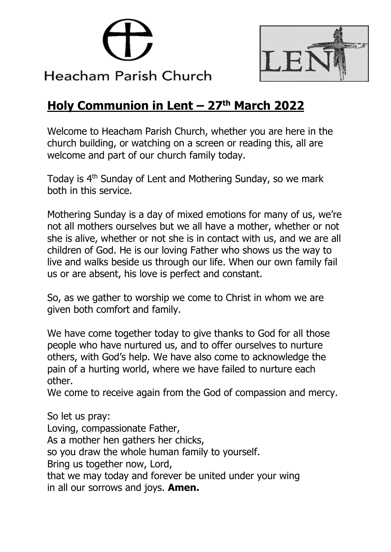



# **Holy Communion in Lent – 27th March 2022**

Welcome to Heacham Parish Church, whether you are here in the church building, or watching on a screen or reading this, all are welcome and part of our church family today.

Today is 4<sup>th</sup> Sunday of Lent and Mothering Sunday, so we mark both in this service.

Mothering Sunday is a day of mixed emotions for many of us, we're not all mothers ourselves but we all have a mother, whether or not she is alive, whether or not she is in contact with us, and we are all children of God. He is our loving Father who shows us the way to live and walks beside us through our life. When our own family fail us or are absent, his love is perfect and constant.

So, as we gather to worship we come to Christ in whom we are given both comfort and family.

We have come together today to give thanks to God for all those people who have nurtured us, and to offer ourselves to nurture others, with God's help. We have also come to acknowledge the pain of a hurting world, where we have failed to nurture each other.

We come to receive again from the God of compassion and mercy.

So let us pray: Loving, compassionate Father, As a mother hen gathers her chicks, so you draw the whole human family to yourself. Bring us together now, Lord, that we may today and forever be united under your wing in all our sorrows and joys. **Amen.**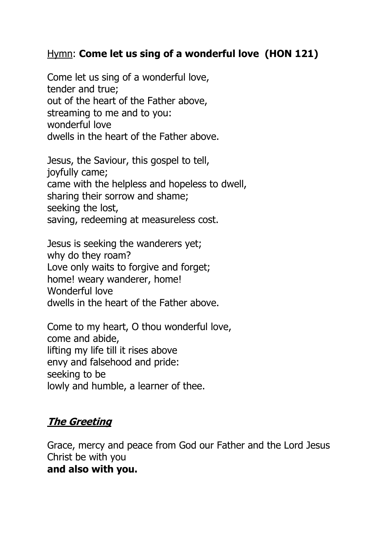#### Hymn: **Come let us sing of a wonderful love (HON 121)**

Come let us sing of a wonderful love, tender and true; out of the heart of the Father above, streaming to me and to you: wonderful love dwells in the heart of the Father above.

Jesus, the Saviour, this gospel to tell, joyfully came; came with the helpless and hopeless to dwell, sharing their sorrow and shame; seeking the lost, saving, redeeming at measureless cost.

Jesus is seeking the wanderers yet; why do they roam? Love only waits to forgive and forget; home! weary wanderer, home! Wonderful love dwells in the heart of the Father above.

Come to my heart, O thou wonderful love, come and abide, lifting my life till it rises above envy and falsehood and pride: seeking to be lowly and humble, a learner of thee.

### **The Greeting**

Grace, mercy and peace from God our Father and the Lord Jesus Christ be with you **and also with you.**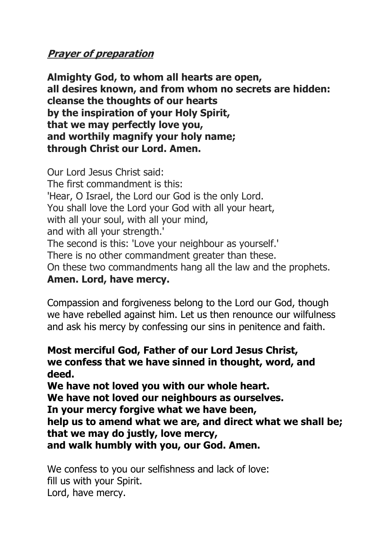### **Prayer of preparation**

**Almighty God, to whom all hearts are open, all desires known, and from whom no secrets are hidden: cleanse the thoughts of our hearts by the inspiration of your Holy Spirit, that we may perfectly love you, and worthily magnify your holy name; through Christ our Lord. Amen.**

Our Lord Jesus Christ said: The first commandment is this: 'Hear, O Israel, the Lord our God is the only Lord. You shall love the Lord your God with all your heart, with all your soul, with all your mind, and with all your strength.' The second is this: 'Love your neighbour as yourself.' There is no other commandment greater than these. On these two commandments hang all the law and the prophets. **Amen. Lord, have mercy.**

Compassion and forgiveness belong to the Lord our God, though we have rebelled against him. Let us then renounce our wilfulness and ask his mercy by confessing our sins in penitence and faith.

#### **Most merciful God, Father of our Lord Jesus Christ, we confess that we have sinned in thought, word, and deed.**

**We have not loved you with our whole heart.**

**We have not loved our neighbours as ourselves.**

**In your mercy forgive what we have been,**

**help us to amend what we are, and direct what we shall be; that we may do justly, love mercy,**

**and walk humbly with you, our God. Amen.**

We confess to you our selfishness and lack of love: fill us with your Spirit. Lord, have mercy.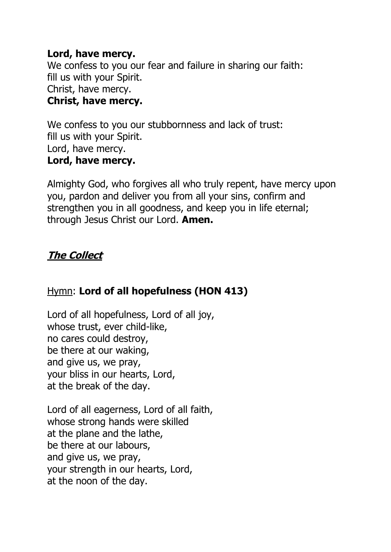#### **Lord, have mercy.**

We confess to you our fear and failure in sharing our faith: fill us with your Spirit. Christ, have mercy. **Christ, have mercy.**

We confess to you our stubbornness and lack of trust: fill us with your Spirit. Lord, have mercy. **Lord, have mercy.**

Almighty God, who forgives all who truly repent, have mercy upon you, pardon and deliver you from all your sins, confirm and strengthen you in all goodness, and keep you in life eternal; through Jesus Christ our Lord. **Amen.**

# **The Collect**

# Hymn: **Lord of all hopefulness (HON 413)**

Lord of all hopefulness, Lord of all joy, whose trust, ever child-like, no cares could destroy, be there at our waking, and give us, we pray, your bliss in our hearts, Lord, at the break of the day.

Lord of all eagerness, Lord of all faith, whose strong hands were skilled at the plane and the lathe, be there at our labours, and give us, we pray, your strength in our hearts, Lord, at the noon of the day.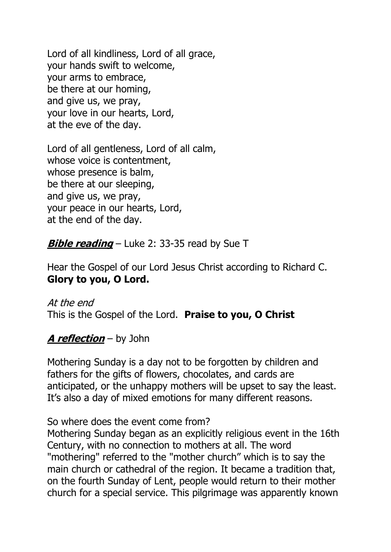Lord of all kindliness, Lord of all grace, your hands swift to welcome, your arms to embrace, be there at our homing, and give us, we pray, your love in our hearts, Lord, at the eve of the day.

Lord of all gentleness, Lord of all calm, whose voice is contentment, whose presence is balm, be there at our sleeping, and give us, we pray, your peace in our hearts, Lord, at the end of the day.

**Bible reading** – Luke 2: 33-35 read by Sue T

Hear the Gospel of our Lord Jesus Christ according to Richard C. **Glory to you, O Lord.**

At the end This is the Gospel of the Lord. **Praise to you, O Christ**

### **A reflection** – by John

Mothering Sunday is a day not to be forgotten by children and fathers for the gifts of flowers, chocolates, and cards are anticipated, or the unhappy mothers will be upset to say the least. It's also a day of mixed emotions for many different reasons.

So where does the event come from?

Mothering Sunday began as an explicitly religious event in the 16th Century, with no connection to mothers at all. The word "mothering" referred to the "mother church" which is to say the main church or cathedral of the region. It became a tradition that, on the fourth Sunday of Lent, people would return to their mother church for a special service. This pilgrimage was apparently known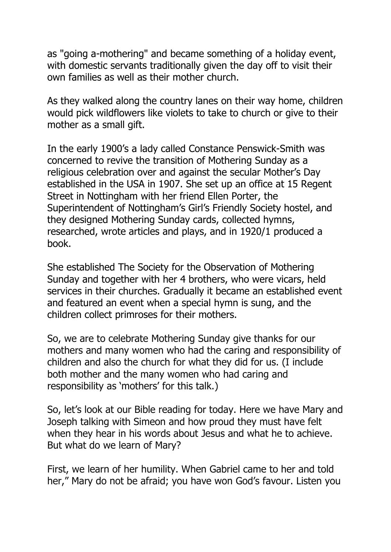as "going a-mothering" and became something of a holiday event, with domestic servants traditionally given the day off to visit their own families as well as their mother church.

As they walked along the country lanes on their way home, children would pick wildflowers like violets to take to church or give to their mother as a small gift.

In the early 1900's a lady called Constance Penswick-Smith was concerned to revive the transition of Mothering Sunday as a religious celebration over and against the secular Mother's Day established in the USA in 1907. She set up an office at 15 Regent Street in Nottingham with her friend Ellen Porter, the Superintendent of Nottingham's Girl's Friendly Society hostel, and they designed Mothering Sunday cards, collected hymns, researched, wrote articles and plays, and in 1920/1 produced a book.

She established The Society for the Observation of Mothering Sunday and together with her 4 brothers, who were vicars, held services in their churches. Gradually it became an established event and featured an event when a special hymn is sung, and the children collect primroses for their mothers.

So, we are to celebrate Mothering Sunday give thanks for our mothers and many women who had the caring and responsibility of children and also the church for what they did for us. (I include both mother and the many women who had caring and responsibility as 'mothers' for this talk.)

So, let's look at our Bible reading for today. Here we have Mary and Joseph talking with Simeon and how proud they must have felt when they hear in his words about Jesus and what he to achieve. But what do we learn of Mary?

First, we learn of her humility. When Gabriel came to her and told her," Mary do not be afraid; you have won God's favour. Listen you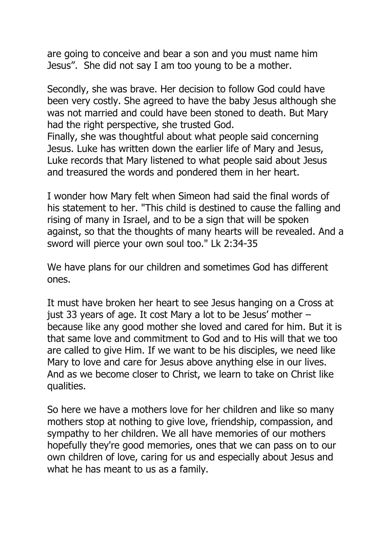are going to conceive and bear a son and you must name him Jesus". She did not say I am too young to be a mother.

Secondly, she was brave. Her decision to follow God could have been very costly. She agreed to have the baby Jesus although she was not married and could have been stoned to death. But Mary had the right perspective, she trusted God.

Finally, she was thoughtful about what people said concerning Jesus. Luke has written down the earlier life of Mary and Jesus, Luke records that Mary listened to what people said about Jesus and treasured the words and pondered them in her heart.

I wonder how Mary felt when Simeon had said the final words of his statement to her. "This child is destined to cause the falling and rising of many in Israel, and to be a sign that will be spoken against, so that the thoughts of many hearts will be revealed. And a sword will pierce your own soul too." Lk 2:34-35

We have plans for our children and sometimes God has different ones.

It must have broken her heart to see Jesus hanging on a Cross at just 33 years of age. It cost Mary a lot to be Jesus' mother – because like any good mother she loved and cared for him. But it is that same love and commitment to God and to His will that we too are called to give Him. If we want to be his disciples, we need like Mary to love and care for Jesus above anything else in our lives. And as we become closer to Christ, we learn to take on Christ like qualities.

So here we have a mothers love for her children and like so many mothers stop at nothing to give love, friendship, compassion, and sympathy to her children. We all have memories of our mothers hopefully they're good memories, ones that we can pass on to our own children of love, caring for us and especially about Jesus and what he has meant to us as a family.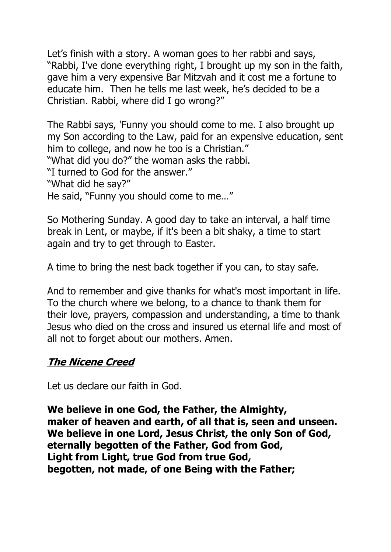Let's finish with a story. A woman goes to her rabbi and says, "Rabbi, I've done everything right, I brought up my son in the faith, gave him a very expensive Bar Mitzvah and it cost me a fortune to educate him. Then he tells me last week, he's decided to be a Christian. Rabbi, where did I go wrong?"

The Rabbi says, 'Funny you should come to me. I also brought up my Son according to the Law, paid for an expensive education, sent him to college, and now he too is a Christian." "What did you do?" the woman asks the rabbi.

"I turned to God for the answer."

"What did he say?"

He said, "Funny you should come to me…"

So Mothering Sunday. A good day to take an interval, a half time break in Lent, or maybe, if it's been a bit shaky, a time to start again and try to get through to Easter.

A time to bring the nest back together if you can, to stay safe.

And to remember and give thanks for what's most important in life. To the church where we belong, to a chance to thank them for their love, prayers, compassion and understanding, a time to thank Jesus who died on the cross and insured us eternal life and most of all not to forget about our mothers. Amen.

### **The Nicene Creed**

Let us declare our faith in God.

**We believe in one God, the Father, the Almighty, maker of heaven and earth, of all that is, seen and unseen. We believe in one Lord, Jesus Christ, the only Son of God, eternally begotten of the Father, God from God, Light from Light, true God from true God, begotten, not made, of one Being with the Father;**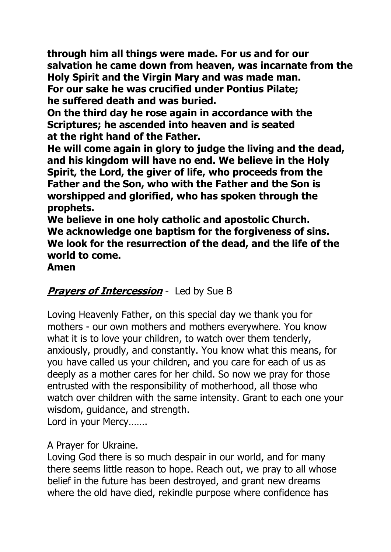**through him all things were made. For us and for our salvation he came down from heaven, was incarnate from the Holy Spirit and the Virgin Mary and was made man. For our sake he was crucified under Pontius Pilate;**

**he suffered death and was buried.**

**On the third day he rose again in accordance with the Scriptures; he ascended into heaven and is seated at the right hand of the Father.**

**He will come again in glory to judge the living and the dead, and his kingdom will have no end. We believe in the Holy Spirit, the Lord, the giver of life, who proceeds from the Father and the Son, who with the Father and the Son is worshipped and glorified, who has spoken through the prophets.**

**We believe in one holy catholic and apostolic Church. We acknowledge one baptism for the forgiveness of sins. We look for the resurrection of the dead, and the life of the world to come.**

**Amen**

# **Prayers of Intercession** - Led by Sue B

Loving Heavenly Father, on this special day we thank you for mothers - our own mothers and mothers everywhere. You know what it is to love your children, to watch over them tenderly, anxiously, proudly, and constantly. You know what this means, for you have called us your children, and you care for each of us as deeply as a mother cares for her child. So now we pray for those entrusted with the responsibility of motherhood, all those who watch over children with the same intensity. Grant to each one your wisdom, guidance, and strength.

Lord in your Mercy…….

### A Prayer for Ukraine.

Loving God there is so much despair in our world, and for many there seems little reason to hope. Reach out, we pray to all whose belief in the future has been destroyed, and grant new dreams where the old have died, rekindle purpose where confidence has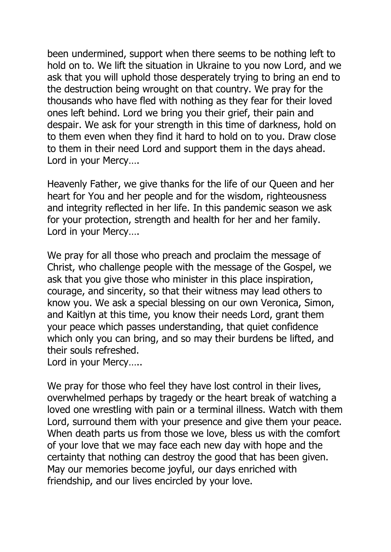been undermined, support when there seems to be nothing left to hold on to. We lift the situation in Ukraine to you now Lord, and we ask that you will uphold those desperately trying to bring an end to the destruction being wrought on that country. We pray for the thousands who have fled with nothing as they fear for their loved ones left behind. Lord we bring you their grief, their pain and despair. We ask for your strength in this time of darkness, hold on to them even when they find it hard to hold on to you. Draw close to them in their need Lord and support them in the days ahead. Lord in your Mercy….

Heavenly Father, we give thanks for the life of our Queen and her heart for You and her people and for the wisdom, righteousness and integrity reflected in her life. In this pandemic season we ask for your protection, strength and health for her and her family. Lord in your Mercy….

We pray for all those who preach and proclaim the message of Christ, who challenge people with the message of the Gospel, we ask that you give those who minister in this place inspiration, courage, and sincerity, so that their witness may lead others to know you. We ask a special blessing on our own Veronica, Simon, and Kaitlyn at this time, you know their needs Lord, grant them your peace which passes understanding, that quiet confidence which only you can bring, and so may their burdens be lifted, and their souls refreshed.

Lord in your Mercy…..

We pray for those who feel they have lost control in their lives, overwhelmed perhaps by tragedy or the heart break of watching a loved one wrestling with pain or a terminal illness. Watch with them Lord, surround them with your presence and give them your peace. When death parts us from those we love, bless us with the comfort of your love that we may face each new day with hope and the certainty that nothing can destroy the good that has been given. May our memories become joyful, our days enriched with friendship, and our lives encircled by your love.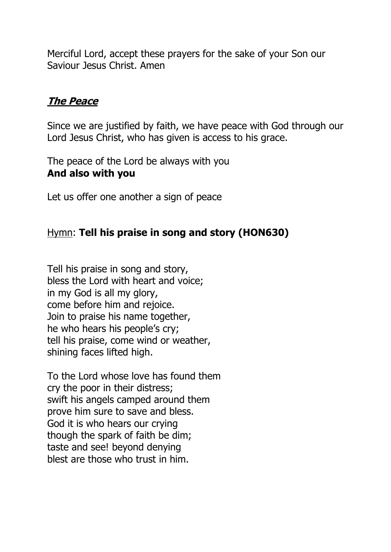Merciful Lord, accept these prayers for the sake of your Son our Saviour Jesus Christ. Amen

### **The Peace**

Since we are justified by faith, we have peace with God through our Lord Jesus Christ, who has given is access to his grace.

The peace of the Lord be always with you **And also with you**

Let us offer one another a sign of peace

### Hymn: **Tell his praise in song and story (HON630)**

Tell his praise in song and story, bless the Lord with heart and voice; in my God is all my glory, come before him and rejoice. Join to praise his name together, he who hears his people's cry; tell his praise, come wind or weather, shining faces lifted high.

To the Lord whose love has found them cry the poor in their distress; swift his angels camped around them prove him sure to save and bless. God it is who hears our crying though the spark of faith be dim; taste and see! beyond denying blest are those who trust in him.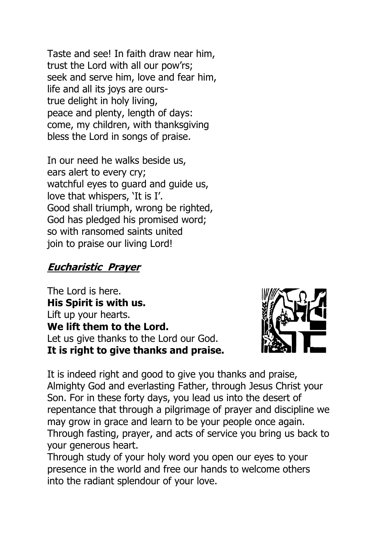Taste and see! In faith draw near him, trust the Lord with all our pow'rs; seek and serve him, love and fear him, life and all its joys are ourstrue delight in holy living, peace and plenty, length of days: come, my children, with thanksgiving bless the Lord in songs of praise.

In our need he walks beside us, ears alert to every cry; watchful eyes to guard and guide us, love that whispers, 'It is I'. Good shall triumph, wrong be righted, God has pledged his promised word; so with ransomed saints united join to praise our living Lord!

### **Eucharistic Prayer**

The Lord is here. **His Spirit is with us.**  Lift up your hearts. **We lift them to the Lord.** Let us give thanks to the Lord our God. **It is right to give thanks and praise.**



It is indeed right and good to give you thanks and praise, Almighty God and everlasting Father, through Jesus Christ your Son. For in these forty days, you lead us into the desert of repentance that through a pilgrimage of prayer and discipline we may grow in grace and learn to be your people once again. Through fasting, prayer, and acts of service you bring us back to your generous heart.

Through study of your holy word you open our eyes to your presence in the world and free our hands to welcome others into the radiant splendour of your love.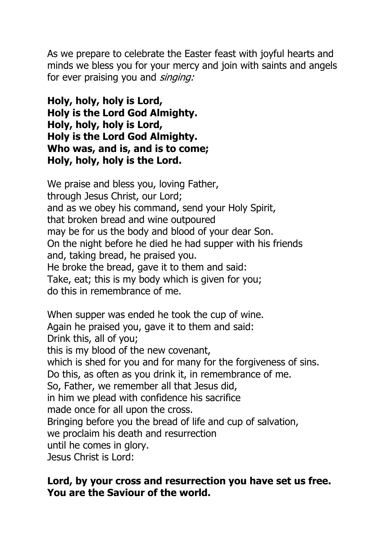As we prepare to celebrate the Easter feast with joyful hearts and minds we bless you for your mercy and join with saints and angels for ever praising you and singing:

**Holy, holy, holy is Lord, Holy is the Lord God Almighty. Holy, holy, holy is Lord, Holy is the Lord God Almighty. Who was, and is, and is to come; Holy, holy, holy is the Lord.**

We praise and bless you, loving Father, through Jesus Christ, our Lord; and as we obey his command, send your Holy Spirit, that broken bread and wine outpoured may be for us the body and blood of your dear Son. On the night before he died he had supper with his friends and, taking bread, he praised you. He broke the bread, gave it to them and said: Take, eat; this is my body which is given for you; do this in remembrance of me.

When supper was ended he took the cup of wine. Again he praised you, gave it to them and said: Drink this, all of you; this is my blood of the new covenant, which is shed for you and for many for the forgiveness of sins. Do this, as often as you drink it, in remembrance of me. So, Father, we remember all that Jesus did, in him we plead with confidence his sacrifice made once for all upon the cross. Bringing before you the bread of life and cup of salvation, we proclaim his death and resurrection until he comes in glory. Jesus Christ is Lord:

#### **Lord, by your cross and resurrection you have set us free. You are the Saviour of the world.**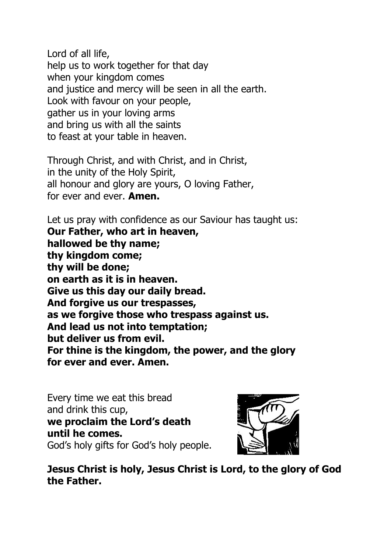Lord of all life, help us to work together for that day when your kingdom comes and justice and mercy will be seen in all the earth. Look with favour on your people, gather us in your loving arms and bring us with all the saints to feast at your table in heaven.

Through Christ, and with Christ, and in Christ, in the unity of the Holy Spirit, all honour and glory are yours, O loving Father, for ever and ever. **Amen.**

Let us pray with confidence as our Saviour has taught us: **Our Father, who art in heaven, hallowed be thy name; thy kingdom come; thy will be done; on earth as it is in heaven. Give us this day our daily bread. And forgive us our trespasses, as we forgive those who trespass against us. And lead us not into temptation; but deliver us from evil. For thine is the kingdom, the power, and the glory for ever and ever. Amen.**

Every time we eat this bread and drink this cup, **we proclaim the Lord's death until he comes.** God's holy gifts for God's holy people.



**Jesus Christ is holy, Jesus Christ is Lord, to the glory of God the Father.**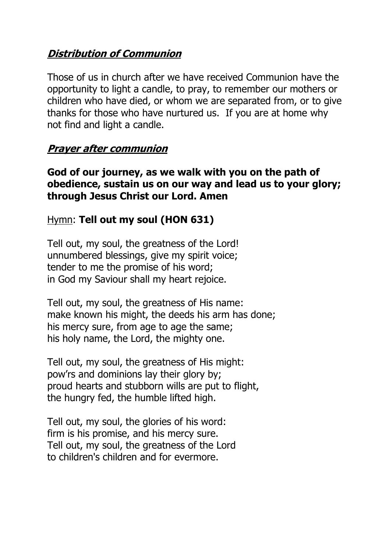### **Distribution of Communion**

Those of us in church after we have received Communion have the opportunity to light a candle, to pray, to remember our mothers or children who have died, or whom we are separated from, or to give thanks for those who have nurtured us. If you are at home why not find and light a candle.

#### **Prayer after communion**

#### **God of our journey, as we walk with you on the path of obedience, sustain us on our way and lead us to your glory; through Jesus Christ our Lord. Amen**

### Hymn: **Tell out my soul (HON 631)**

Tell out, my soul, the greatness of the Lord! unnumbered blessings, give my spirit voice; tender to me the promise of his word; in God my Saviour shall my heart rejoice.

Tell out, my soul, the greatness of His name: make known his might, the deeds his arm has done; his mercy sure, from age to age the same; his holy name, the Lord, the mighty one.

Tell out, my soul, the greatness of His might: pow'rs and dominions lay their glory by; proud hearts and stubborn wills are put to flight, the hungry fed, the humble lifted high.

Tell out, my soul, the glories of his word: firm is his promise, and his mercy sure. Tell out, my soul, the greatness of the Lord to children's children and for evermore.